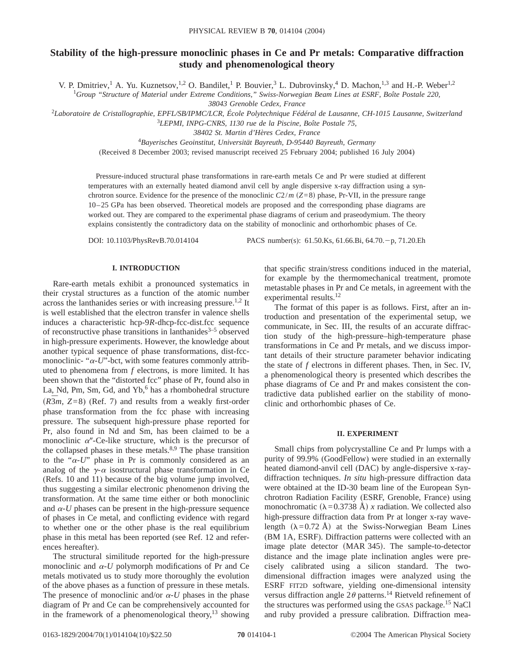# **Stability of the high-pressure monoclinic phases in Ce and Pr metals: Comparative diffraction study and phenomenological theory**

V. P. Dmitriev,<sup>1</sup> A. Yu. Kuznetsov,<sup>1,2</sup> O. Bandilet,<sup>1</sup> P. Bouvier,<sup>3</sup> L. Dubrovinsky,<sup>4</sup> D. Machon,<sup>1,3</sup> and H.-P. Weber<sup>1,2</sup>

1 *Group "Structure of Material under Extreme Conditions," Swiss-Norwegian Beam Lines at ESRF, Boîte Postale 220,*

*38043 Grenoble Cedex, France*

2 *Laboratoire de Cristallographie, EPFL/SB/IPMC/LCR, École Polytechnique Fédéral de Lausanne, CH-1015 Lausanne, Switzerland* <sup>3</sup>*LEPMI, INPG-CNRS, 1130 rue de la Piscine, Boîte Postale 75,*

*38402 St. Martin d'Hères Cedex, France*

4 *Bayerisches Geoinstitut, Universität Bayreuth, D-95440 Bayreuth, Germany*

(Received 8 December 2003; revised manuscript received 25 February 2004; published 16 July 2004)

Pressure-induced structural phase transformations in rare-earth metals Ce and Pr were studied at different temperatures with an externally heated diamond anvil cell by angle dispersive x-ray diffraction using a synchrotron source. Evidence for the presence of the monoclinic  $C_2/m$  ( $Z=8$ ) phase, Pr-VII, in the pressure range 10–25 GPa has been observed. Theoretical models are proposed and the corresponding phase diagrams are worked out. They are compared to the experimental phase diagrams of cerium and praseodymium. The theory explains consistently the contradictory data on the stability of monoclinic and orthorhombic phases of Ce.

DOI: 10.1103/PhysRevB.70.014104 PACS number(s): 61.50.Ks, 61.66.Bi, 64.70. - p, 71.20.Eh

## **I. INTRODUCTION**

Rare-earth metals exhibit a pronounced systematics in their crystal structures as a function of the atomic number across the lanthanides series or with increasing pressure.<sup>1,2</sup> It is well established that the electron transfer in valence shells induces a characteristic hcp-9*R*-dhcp-fcc-dist.fcc sequence of reconstructive phase transitions in lanthanides $3-5$  observed in high-pressure experiments. However, the knowledge about another typical sequence of phase transformations, dist-fccmonoclinic- " $\alpha$ -*U*"-bct, with some features commonly attributed to phenomena from *f* electrons, is more limited. It has been shown that the "distorted fcc" phase of Pr, found also in La, Nd, Pm, Sm, Gd, and  $Yb$ ,  $6$  has a rhombohedral structure  $R\overline{3}m$ ,  $Z=8$ ) (Ref. 7) and results from a weakly first-order phase transformation from the fcc phase with increasing pressure. The subsequent high-pressure phase reported for Pr, also found in Nd and Sm, has been claimed to be a monoclinic  $\alpha$ <sup>"</sup>-Ce-like structure, which is the precursor of the collapsed phases in these metals. $8,9$  The phase transition to the " $\alpha$ -*U*" phase in Pr is commonly considered as an analog of the  $\gamma$ - $\alpha$  isostructural phase transformation in Ce (Refs. 10 and 11) because of the big volume jump involved, thus suggesting a similar electronic phenomenon driving the transformation. At the same time either or both monoclinic and  $\alpha$ -*U* phases can be present in the high-pressure sequence of phases in Ce metal, and conflicting evidence with regard to whether one or the other phase is the real equilibrium phase in this metal has been reported (see Ref. 12 and references hereafter).

The structural similitude reported for the high-pressure monoclinic and  $\alpha$ -*U* polymorph modifications of Pr and Ce metals motivated us to study more thoroughly the evolution of the above phases as a function of pressure in these metals. The presence of monoclinic and/or  $\alpha$ -*U* phases in the phase diagram of Pr and Ce can be comprehensively accounted for in the framework of a phenomenological theory,<sup>13</sup> showing that specific strain/stress conditions induced in the material, for example by the thermomechanical treatment, promote metastable phases in Pr and Ce metals, in agreement with the experimental results.<sup>12</sup>

The format of this paper is as follows. First, after an introduction and presentation of the experimental setup, we communicate, in Sec. III, the results of an accurate diffraction study of the high-pressure–high-temperature phase transformations in Ce and Pr metals, and we discuss important details of their structure parameter behavior indicating the state of *f* electrons in different phases. Then, in Sec. IV, a phenomenological theory is presented which describes the phase diagrams of Ce and Pr and makes consistent the contradictive data published earlier on the stability of monoclinic and orthorhombic phases of Ce.

## **II. EXPERIMENT**

Small chips from polycrystalline Ce and Pr lumps with a purity of 99.9% (GoodFellow) were studied in an externally heated diamond-anvil cell (DAC) by angle-dispersive x-raydiffraction techniques. *In situ* high-pressure diffraction data were obtained at the ID-30 beam line of the European Synchrotron Radiation Facility (ESRF, Grenoble, France) using monochromatic  $(\lambda=0.3738 \text{ Å}) x$  radiation. We collected also high-pressure diffraction data from Pr at longer x-ray wavelength  $(\lambda=0.72 \text{ Å})$  at the Swiss-Norwegian Beam Lines (BM 1A, ESRF). Diffraction patterns were collected with an image plate detector (MAR 345). The sample-to-detector distance and the image plate inclination angles were precisely calibrated using a silicon standard. The twodimensional diffraction images were analyzed using the ESRF FIT2D software, yielding one-dimensional intensity versus diffraction angle  $2\theta$  patterns.<sup>14</sup> Rietveld refinement of the structures was performed using the GSAS package.<sup>15</sup> NaCl and ruby provided a pressure calibration. Diffraction mea-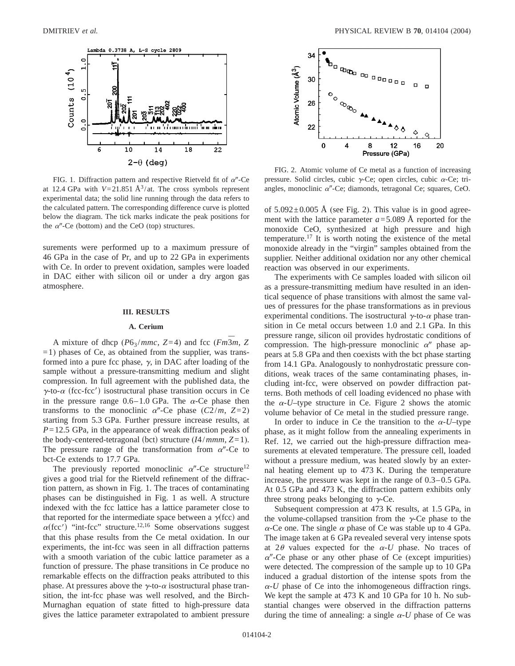

FIG. 1. Diffraction pattern and respective Rietveld fit of  $\alpha$ <sup>*n*</sup>-Ce at 12.4 GPa with  $V=21.851 \text{ Å}^3/\text{at}$ . The cross symbols represent experimental data; the solid line running through the data refers to the calculated pattern. The corresponding difference curve is plotted below the diagram. The tick marks indicate the peak positions for the  $\alpha$ <sup>"</sup>-Ce (bottom) and the CeO (top) structures.

surements were performed up to a maximum pressure of 46 GPa in the case of Pr, and up to 22 GPa in experiments with Ce. In order to prevent oxidation, samples were loaded in DAC either with silicon oil or under a dry argon gas atmosphere.

#### **III. RESULTS**

### **A. Cerium**

A mixture of dhcp ( $P6_3/mmc$ ,  $Z=4$ ) and fcc ( $Fm\overline{3}m$ ,  $Z$  $=1$ ) phases of Ce, as obtained from the supplier, was transformed into a pure fcc phase,  $\gamma$ , in DAC after loading of the sample without a pressure-transmitting medium and slight compression. In full agreement with the published data, the  $\gamma$ -to- $\alpha$  (fcc-fcc') isostructural phase transition occurs in Ce in the pressure range  $0.6-1.0$  GPa. The  $\alpha$ -Ce phase then transforms to the monoclinic  $\alpha''$ -Ce phase ( $C2/m$ ,  $Z=2$ ) starting from 5.3 GPa. Further pressure increase results, at *P*=12.5 GPa, in the appearance of weak diffraction peaks of the body-centered-tetragonal (bct) structure  $(I4/mmm, Z=1)$ . The pressure range of the transformation from  $\alpha$ <sup>"</sup>-Ce to bct-Ce extends to 17.7 GPa.

The previously reported monoclinic  $\alpha''$ -Ce structure<sup>12</sup> gives a good trial for the Rietveld refinement of the diffraction pattern, as shown in Fig. 1. The traces of contaminating phases can be distinguished in Fig. 1 as well. A structure indexed with the fcc lattice has a lattice parameter close to that reported for the intermediate space between a  $\gamma$ (fcc) and  $\alpha$ (fcc') "int-fcc" structure.<sup>12,16</sup> Some observations suggest that this phase results from the Ce metal oxidation. In our experiments, the int-fcc was seen in all diffraction patterns with a smooth variation of the cubic lattice parameter as a function of pressure. The phase transitions in Ce produce no remarkable effects on the diffraction peaks attributed to this phase. At pressures above the  $\gamma$ -to- $\alpha$  isostructural phase transition, the int-fcc phase was well resolved, and the Birch-Murnaghan equation of state fitted to high-pressure data gives the lattice parameter extrapolated to ambient pressure



FIG. 2. Atomic volume of Ce metal as a function of increasing pressure. Solid circles, cubic  $\gamma$ -Ce; open circles, cubic  $\alpha$ -Ce; triangles, monoclinic  $\alpha$ "-Ce; diamonds, tetragonal Ce; squares, CeO.

of  $5.092 \pm 0.005$  Å (see Fig. 2). This value is in good agreement with the lattice parameter *a*=5.089 Å reported for the monoxide CeO, synthesized at high pressure and high temperature.<sup>17</sup> It is worth noting the existence of the metal monoxide already in the "virgin" samples obtained from the supplier. Neither additional oxidation nor any other chemical reaction was observed in our experiments.

The experiments with Ce samples loaded with silicon oil as a pressure-transmitting medium have resulted in an identical sequence of phase transitions with almost the same values of pressures for the phase transformations as in previous experimental conditions. The isostructural  $\gamma$ -to- $\alpha$  phase transition in Ce metal occurs between 1.0 and 2.1 GPa. In this pressure range, silicon oil provides hydrostatic conditions of compression. The high-pressure monoclinic  $\alpha''$  phase appears at 5.8 GPa and then coexists with the bct phase starting from 14.1 GPa. Analogously to nonhydrostatic pressure conditions, weak traces of the same contaminating phases, including int-fcc, were observed on powder diffraction patterns. Both methods of cell loading evidenced no phase with the  $\alpha$ -*U*–type structure in Ce. Figure 2 shows the atomic volume behavior of Ce metal in the studied pressure range.

In order to induce in Ce the transition to the  $\alpha$ -U–type phase, as it might follow from the annealing experiments in Ref. 12, we carried out the high-pressure diffraction measurements at elevated temperature. The pressure cell, loaded without a pressure medium, was heated slowly by an external heating element up to 473 K. During the temperature increase, the pressure was kept in the range of 0.3–0.5 GPa. At 0.5 GPa and 473 K, the diffraction pattern exhibits only three strong peaks belonging to  $\gamma$ -Ce.

Subsequent compression at 473 K results, at 1.5 GPa, in the volume-collapsed transition from the  $\gamma$ -Ce phase to the  $\alpha$ -Ce one. The single  $\alpha$  phase of Ce was stable up to 4 GPa. The image taken at 6 GPa revealed several very intense spots at  $2\theta$  values expected for the  $\alpha$ -*U* phase. No traces of  $\alpha$ <sup>"</sup>-Ce phase or any other phase of Ce (except impurities) were detected. The compression of the sample up to 10 GPa induced a gradual distortion of the intense spots from the  $\alpha$ -*U* phase of Ce into the inhomogeneous diffraction rings. We kept the sample at 473 K and 10 GPa for 10 h. No substantial changes were observed in the diffraction patterns during the time of annealing: a single  $\alpha$ -U phase of Ce was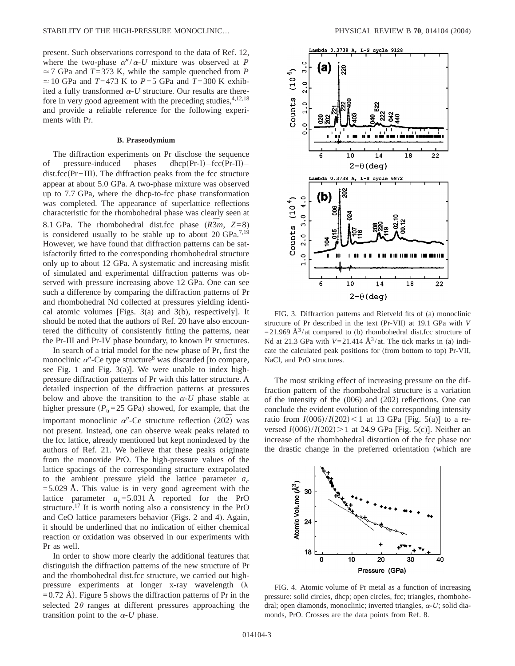present. Such observations correspond to the data of Ref. 12, where the two-phase  $\alpha''/\alpha$ -*U* mixture was observed at *P*  $\approx$  7 GPa and *T*=373 K, while the sample quenched from *P*  $\simeq$  10 GPa and *T*=473 K to *P*=5 GPa and *T*=300 K exhibited a fully transformed  $\alpha$ -U structure. Our results are therefore in very good agreement with the preceding studies,  $4,12,18$ and provide a reliable reference for the following experiments with Pr.

#### **B. Praseodymium**

The diffraction experiments on Pr disclose the sequence of pressure-induced phases dhcp $(Pr-I)-fcc(Pr-II)$ – dist.fcc(Pr−III). The diffraction peaks from the fcc structure appear at about 5.0 GPa. A two-phase mixture was observed up to 7.7 GPa, where the dhcp-to-fcc phase transformation was completed. The appearance of superlattice reflections characteristic for the rhombohedral phase was clearly seen at 8.1 GPa. The rhombohedral dist.fcc phase  $(R\overline{3}m, Z=8)$ is considered usually to be stable up to about 20 GPa.7,19 However, we have found that diffraction patterns can be satisfactorily fitted to the corresponding rhombohedral structure only up to about 12 GPa. A systematic and increasing misfit of simulated and experimental diffraction patterns was observed with pressure increasing above 12 GPa. One can see such a difference by comparing the diffraction patterns of Pr and rhombohedral Nd collected at pressures yielding identical atomic volumes [Figs. 3(a) and 3(b), respectively]. It should be noted that the authors of Ref. 20 have also encountered the difficulty of consistently fitting the patterns, near the Pr-III and Pr-IV phase boundary, to known Pr structures.

In search of a trial model for the new phase of Pr, first the monoclinic  $\alpha$ <sup>"</sup>-Ce type structure<sup>8</sup> was discarded [to compare, see Fig. 1 and Fig. 3(a)]. We were unable to index highpressure diffraction patterns of Pr with this latter structure. A detailed inspection of the diffraction patterns at pressures below and above the transition to the  $\alpha$ -U phase stable at higher pressure  $(P_{tr}=25 \text{ GPa})$  showed, for example, that the important monoclinic  $\alpha$ <sup>"</sup>-Ce structure reflection (202<sup> $\bar{2}$ </sup>) was not present. Instead, one can observe weak peaks related to the fcc lattice, already mentioned but kept nonindexed by the authors of Ref. 21. We believe that these peaks originate from the monoxide PrO. The high-pressure values of the lattice spacings of the corresponding structure extrapolated to the ambient pressure yield the lattice parameter  $a_c$  $=$  5.029 Å. This value is in very good agreement with the lattice parameter  $a_c = 5.031 \text{ Å}$  reported for the PrO structure.17 It is worth noting also a consistency in the PrO and CeO lattice parameters behavior (Figs. 2 and 4). Again, it should be underlined that no indication of either chemical reaction or oxidation was observed in our experiments with Pr as well.

In order to show more clearly the additional features that distinguish the diffraction patterns of the new structure of Pr and the rhombohedral dist.fcc structure, we carried out highpressure experiments at longer x-ray wavelength  $(\lambda)$  $=0.72$  Å). Figure 5 shows the diffraction patterns of Pr in the selected  $2\theta$  ranges at different pressures approaching the transition point to the  $\alpha$ -U phase.



FIG. 3. Diffraction patterns and Rietveld fits of (a) monoclinic structure of Pr described in the text (Pr-VII) at 19.1 GPa with *V*  $=$  21.969 Å<sup>3</sup>/at compared to (b) rhombohedral dist.fcc structure of Nd at 21.3 GPa with  $V=21.414 \text{ Å}^3/\text{at}$ . The tick marks in (a) indicate the calculated peak positions for (from bottom to top) Pr-VII, NaCl, and PrO structures.

The most striking effect of increasing pressure on the diffraction pattern of the rhombohedral structure is a variation of the intensity of the (006) and (202) reflections. One can conclude the evident evolution of the corresponding intensity ratio from  $I(006)/I(202)$  < 1 at 13 GPa [Fig. 5(a)] to a reversed  $I(006)/I(202)$  > 1 at 24.9 GPa [Fig. 5(c)]. Neither an increase of the rhombohedral distortion of the fcc phase nor the drastic change in the preferred orientation (which are



FIG. 4. Atomic volume of Pr metal as a function of increasing pressure: solid circles, dhcp; open circles, fcc; triangles, rhombohedral; open diamonds, monoclinic; inverted triangles,  $\alpha$ -U; solid diamonds, PrO. Crosses are the data points from Ref. 8.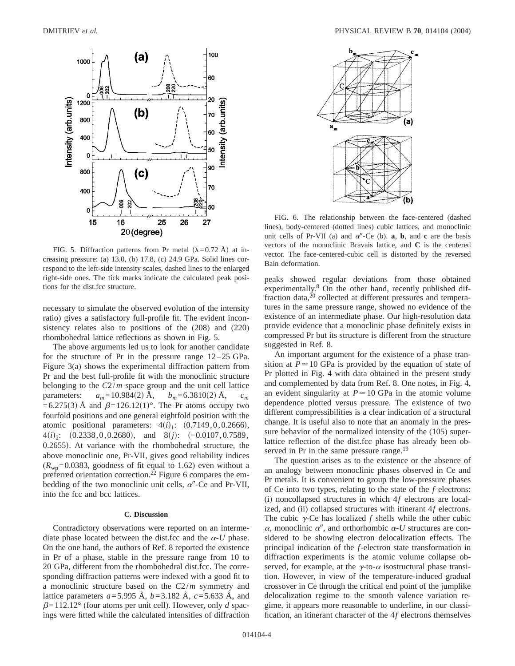

FIG. 5. Diffraction patterns from Pr metal  $(\lambda=0.72 \text{ Å})$  at increasing pressure: (a) 13.0, (b) 17.8, (c) 24.9 GPa. Solid lines correspond to the left-side intensity scales, dashed lines to the enlarged right-side ones. The tick marks indicate the calculated peak positions for the dist.fcc structure.

necessary to simulate the observed evolution of the intensity ratio) gives a satisfactory full-profile fit. The evident inconsistency relates also to positions of the (208) and (220) rhombohedral lattice reflections as shown in Fig. 5.

The above arguments led us to look for another candidate for the structure of Pr in the pressure range 12–25 GPa. Figure 3(a) shows the experimental diffraction pattern from Pr and the best full-profile fit with the monoclinic structure belonging to the *C*2/*m* space group and the unit cell lattice parameters:  $a_m = 10.984(2)$  Å,  $b_m = 6.3810(2)$  Å,  $c_m$ =6.275(3) Å and  $\beta$ =126.12(1)°. The Pr atoms occupy two fourfold positions and one general eightfold position with the atomic positional parameters:  $4(i)_{1}$ :  $(0.7149, 0, 0.2666)$ ,  $4(i)_2$ :  $(0.2338,0,0.2680)$ , and  $8(j)$ :  $(-0.0107,0.7589)$ ,  $0.2655$ ). At variance with the rhombohedral structure, the above monoclinic one, Pr-VII, gives good reliability indices  $(R<sub>wn</sub>=0.0383,$  goodness of fit equal to 1.62) even without a preferred orientation correction.<sup>22</sup> Figure 6 compares the embedding of the two monoclinic unit cells,  $\alpha''$ -Ce and Pr-VII, into the fcc and bcc lattices.

#### **C. Discussion**

Contradictory observations were reported on an intermediate phase located between the dist.fcc and the  $\alpha$ -U phase. On the one hand, the authors of Ref. 8 reported the existence in Pr of a phase, stable in the pressure range from 10 to 20 GPa, different from the rhombohedral dist.fcc. The corresponding diffraction patterns were indexed with a good fit to a monoclinic structure based on the *C*2/*m* symmetry and lattice parameters *a*=5.995 Å, *b*=3.182 Å, *c*=5.633 Å, and  $\beta$ =112.12° (four atoms per unit cell). However, only *d* spacings were fitted while the calculated intensities of diffraction



FIG. 6. The relationship between the face-centered (dashed lines), body-centered (dotted lines) cubic lattices, and monoclinic unit cells of Pr-VII (a) and  $\alpha''$ -Ce (b). **a**, **b**, and **c** are the basis vectors of the monoclinic Bravais lattice, and **C** is the centered vector. The face-centered-cubic cell is distorted by the reversed Bain deformation.

peaks showed regular deviations from those obtained experimentally.<sup>8</sup> On the other hand, recently published diffraction data,<sup>20</sup> collected at different pressures and temperatures in the same pressure range, showed no evidence of the existence of an intermediate phase. Our high-resolution data provide evidence that a monoclinic phase definitely exists in compressed Pr but its structure is different from the structure suggested in Ref. 8.

An important argument for the existence of a phase transition at  $P \approx 10$  GPa is provided by the equation of state of Pr plotted in Fig. 4 with data obtained in the present study and complemented by data from Ref. 8. One notes, in Fig. 4, an evident singularity at  $P \approx 10$  GPa in the atomic volume dependence plotted versus pressure. The existence of two different compressibilities is a clear indication of a structural change. It is useful also to note that an anomaly in the pressure behavior of the normalized intensity of the (105) superlattice reflection of the dist.fcc phase has already been observed in Pr in the same pressure range.<sup>19</sup>

The question arises as to the existence or the absence of an analogy between monoclinic phases observed in Ce and Pr metals. It is convenient to group the low-pressure phases of Ce into two types, relating to the state of the *f* electrons: (i) noncollapsed structures in which 4*f* electrons are localized, and (ii) collapsed structures with itinerant 4*f* electrons. The cubic  $\gamma$ -Ce has localized *f* shells while the other cubic  $\alpha$ , monoclinic  $\alpha''$ , and orthorhombic  $\alpha$ -*U* structures are considered to be showing electron delocalization effects. The principal indication of the *f*-electron state transformation in diffraction experiments is the atomic volume collapse observed, for example, at the  $\gamma$ -to- $\alpha$  isostructural phase transition. However, in view of the temperature-induced gradual crossover in Ce through the critical end point of the jumplike delocalization regime to the smooth valence variation regime, it appears more reasonable to underline, in our classification, an itinerant character of the 4*f* electrons themselves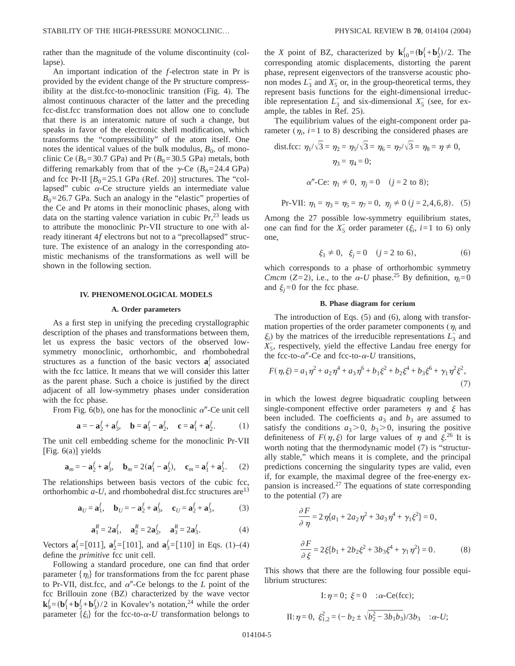rather than the magnitude of the volume discontinuity (collapse).

An important indication of the *f*-electron state in Pr is provided by the evident change of the Pr structure compressibility at the dist.fcc-to-monoclinic transition (Fig. 4). The almost continuous character of the latter and the preceding fcc-dist.fcc transformation does not allow one to conclude that there is an interatomic nature of such a change, but speaks in favor of the electronic shell modification, which transforms the "compressibility" of the atom itself. One notes the identical values of the bulk modulus,  $B_0$ , of monoclinic Ce  $(B_0=30.7 \text{ GPa})$  and Pr  $(B_0=30.5 \text{ GPa})$  metals, both differing remarkably from that of the  $\gamma$ -Ce  $(B_0=24.4 \text{ GPa})$ and fcc Pr-II  $[B_0=25.1 \text{ GPa (Ref. 20)}]$  structures. The "collapsed" cubic  $\alpha$ -Ce structure yields an intermediate value  $B_0$ =26.7 GPa. Such an analogy in the "elastic" properties of the Ce and Pr atoms in their monoclinic phases, along with data on the starting valence variation in cubic  $Pr<sub>1</sub><sup>23</sup>$  leads us to attribute the monoclinic Pr-VII structure to one with already itinerant 4*f* electrons but not to a "precollapsed" structure. The existence of an analogy in the corresponding atomistic mechanisms of the transformations as well will be shown in the following section.

#### **IV. PHENOMENOLOGICAL MODELS**

#### **A. Order parameters**

As a first step in unifying the preceding crystallographic description of the phases and transformations between them, let us express the basic vectors of the observed lowsymmetry monoclinic, orthorhombic, and rhombohedral structures as a function of the basic vectors  $a_i^f$  associated with the fcc lattice. It means that we will consider this latter as the parent phase. Such a choice is justified by the direct adjacent of all low-symmetry phases under consideration with the fcc phase.

From Fig.  $6(b)$ , one has for the monoclinic  $\alpha''$ -Ce unit cell

$$
\mathbf{a} = -\mathbf{a}_2^f + \mathbf{a}_3^f, \quad \mathbf{b} = \mathbf{a}_1^f - \mathbf{a}_2^f, \quad \mathbf{c} = \mathbf{a}_1^f + \mathbf{a}_2^f. \tag{1}
$$

The unit cell embedding scheme for the monoclinic Pr-VII [Fig. 6(a)] yields

$$
\mathbf{a}_m = -\mathbf{a}_2^f + \mathbf{a}_3^f, \quad \mathbf{b}_m = 2(\mathbf{a}_1^f - \mathbf{a}_2^f), \quad \mathbf{c}_m = \mathbf{a}_1^f + \mathbf{a}_2^f. \tag{2}
$$

The relationships between basis vectors of the cubic fcc, orthorhombic  $a$ -*U*, and rhombohedral dist.fcc structures are<sup>13</sup>

$$
\mathbf{a}_U = \mathbf{a}_1^f, \quad \mathbf{b}_U = -\mathbf{a}_2^f + \mathbf{a}_3^f, \quad \mathbf{c}_U = \mathbf{a}_2^f + \mathbf{a}_3^f, \tag{3}
$$

$$
\mathbf{a}_1^R = 2\mathbf{a}_1^f, \quad \mathbf{a}_2^R = 2\mathbf{a}_2^f, \quad \mathbf{a}_3^R = 2\mathbf{a}_3^f. \tag{4}
$$

Vectors  $\mathbf{a}_1^f = [011]$ ,  $\mathbf{a}_2^f = [101]$ , and  $\mathbf{a}_3^f = [110]$  in Eqs. (1)–(4) define the *primitive* fcc unit cell.

Following a standard procedure, one can find that order parameter  $\{\eta_i\}$  for transformations from the fcc parent phase to Pr-VII, dist.fcc, and  $\alpha$ <sup>"</sup>-Ce belongs to the *L* point of the fcc Brillouin zone (BZ) characterized by the wave vector  $\mathbf{k}_9^f = (\mathbf{b}_1^f + \mathbf{b}_2^f + \mathbf{b}_3^f)/2$  in Kovalev's notation,<sup>24</sup> while the order parameter  $\{\xi_i\}$  for the fcc-to- $\alpha$ -*U* transformation belongs to

the *X* point of BZ, characterized by  $\mathbf{k}_{10}^f = (\mathbf{b}_1^f + \mathbf{b}_2^f)/2$ . The corresponding atomic displacements, distorting the parent phase, represent eigenvectors of the transverse acoustic phonon modes  $L_3^-$  and  $X_5^-$  or, in the group-theoretical terms, they represent basis functions for the eight-dimensional irreducible representation  $L_3^-$  and six-dimensional  $X_5^-$  (see, for example, the tables in Ref. 25).

The equilibrium values of the eight-component order parameter  $(\eta_i, i=1 \text{ to } 8)$  describing the considered phases are

dist.fcc: 
$$
\eta_1/\sqrt{3} = \eta_2 = \eta_5/\sqrt{3} = \eta_6 = \eta_7/\sqrt{3} = \eta_8 = \eta \neq 0
$$
,  
 $\eta_3 = \eta_4 = 0$ ;  
 $\alpha''$ -Ce:  $\eta_1 \neq 0$ ,  $\eta_j = 0$  (j = 2 to 8);

Pr-VII:  $\eta_1 = \eta_3 = \eta_5 = \eta_7 = 0$ ,  $\eta_j \neq 0$  ( $j = 2, 4, 6, 8$ ). (5)

Among the 27 possible low-symmetry equilibrium states, one can find for the  $X_5^-$  order parameter ( $\xi_i$ , *i*=1 to 6) only one,

$$
\xi_1 \neq 0, \xi_j = 0 \quad (j = 2 \text{ to } 6),
$$
 (6)

which corresponds to a phase of orthorhombic symmetry *Cmcm* (Z=2), i.e., to the  $\alpha$ -*U* phase.<sup>25</sup> By definition,  $\eta_i$ =0 and  $\xi_i = 0$  for the fcc phase.

## **B. Phase diagram for cerium**

The introduction of Eqs. (5) and (6), along with transformation properties of the order parameter components ( $\eta_i$  and  $\xi$ <sub>*i*</sub>) by the matrices of the irreducible representations  $L_3^-$  and  $X_5$ , respectively, yield the effective Landau free energy for the fcc-to- $\alpha$ <sup>"</sup>-Ce and fcc-to- $\alpha$ -U transitions,

$$
F(\eta, \xi) = a_1 \eta^2 + a_2 \eta^4 + a_3 \eta^6 + b_1 \xi^2 + b_2 \xi^4 + b_3 \xi^6 + \gamma_1 \eta^2 \xi^2,
$$
\n(7)

in which the lowest degree biquadratic coupling between single-component effective order parameters  $\eta$  and  $\xi$  has been included. The coefficients  $a_3$  and  $b_3$  are assumed to satisfy the conditions  $a_3 > 0$ ,  $b_3 > 0$ , insuring the positive definiteness of  $F(\eta, \xi)$  for large values of  $\eta$  and  $\xi^{26}$  It is worth noting that the thermodynamic model (7) is "structurally stable," which means it is complete, and the principal predictions concerning the singularity types are valid, even if, for example, the maximal degree of the free-energy expansion is increased.27 The equations of state corresponding to the potential (7) are

$$
\frac{\partial F}{\partial \eta} = 2\eta \{a_1 + 2a_2\eta^2 + 3a_3\eta^4 + \gamma_1 \xi^2\} = 0,
$$
  

$$
\frac{\partial F}{\partial \xi} = 2\xi \{b_1 + 2b_2\xi^2 + 3b_3\xi^4 + \gamma_1 \eta^2\} = 0.
$$
 (8)

This shows that there are the following four possible equilibrium structures:

I: 
$$
\eta = 0
$$
;  $\xi = 0$  :  $\alpha$ -Ce(fcc);  
\nII:  $\eta = 0$ ,  $\xi_{1,2}^2 = (-b_2 \pm \sqrt{b_2^2 - 3b_1b_3})/3b_3$  :  $\alpha$ -U;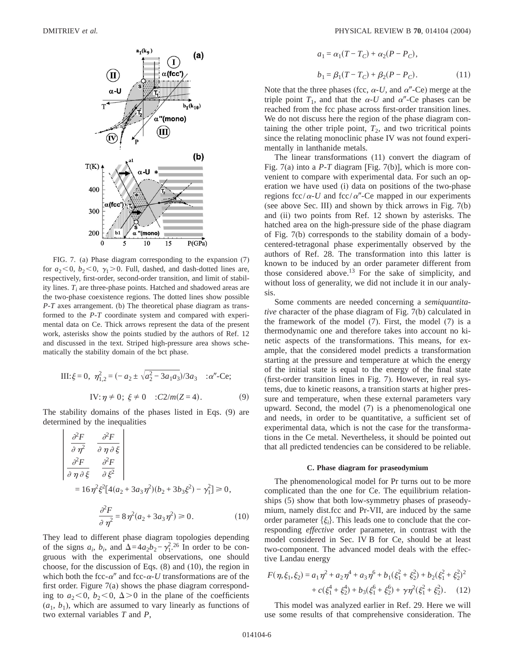

FIG. 7. (a) Phase diagram corresponding to the expansion (7) for  $a_2 < 0$ ,  $b_2 < 0$ ,  $\gamma_1 > 0$ . Full, dashed, and dash-dotted lines are, respectively, first-order, second-order transition, and limit of stability lines.  $T_i$  are three-phase points. Hatched and shadowed areas are the two-phase coexistence regions. The dotted lines show possible *P*-*T* axes arrangement. (b) The theoretical phase diagram as transformed to the *P*-*T* coordinate system and compared with experimental data on Ce. Thick arrows represent the data of the present work, asterisks show the points studied by the authors of Ref. 12 and discussed in the text. Striped high-pressure area shows schematically the stability domain of the bct phase.

III: 
$$
\xi = 0
$$
,  $\eta_{1,2}^2 = (-a_2 \pm \sqrt{a_2^2 - 3a_1 a_3})/3a_3$  :  $\alpha''$ -Ce;  
\nIV:  $\eta \neq 0$ ;  $\xi \neq 0$  :  $C2/m(Z = 4)$ . (9)

The stability domains of the phases listed in Eqs. (9) are determined by the inequalities

 $\mathbf{L}$ 

$$
\begin{vmatrix}\n\frac{\partial^2 F}{\partial \eta^2} & \frac{\partial^2 F}{\partial \eta \partial \xi} \\
\frac{\partial^2 F}{\partial \eta \partial \xi} & \frac{\partial^2 F}{\partial \xi^2}\n\end{vmatrix}
$$
\n= 16 $\eta^2 \xi^2 [4(a_2 + 3a_3 \eta^2)(b_2 + 3b_3 \xi^2) - \gamma_1^2] \ge 0,$   
\n
$$
\frac{\partial^2 F}{\partial \eta^2} = 8 \eta^2 (a_2 + 3a_3 \eta^2) \ge 0.
$$
\n(10)

They lead to different phase diagram topologies depending of the signs  $a_i$ ,  $b_i$ , and  $\Delta = 4a_2b_2 - \gamma_1^2$ <sup>26</sup>. In order to be congruous with the experimental observations, one should choose, for the discussion of Eqs. (8) and (10), the region in which both the fcc- $\alpha^{\prime\prime}$  and fcc- $\alpha$ -*U* transformations are of the first order. Figure 7(a) shows the phase diagram corresponding to  $a_2 < 0$ ,  $b_2 < 0$ ,  $\Delta > 0$  in the plane of the coefficients  $(a_1, b_1)$ , which are assumed to vary linearly as functions of two external variables *T* and *P*,

$$
a_1 = \alpha_1 (T - T_C) + \alpha_2 (P - P_C),
$$
  
\n
$$
b_1 = \beta_1 (T - T_C) + \beta_2 (P - P_C).
$$
 (11)

Note that the three phases (fcc,  $\alpha$ -*U*, and  $\alpha$ <sup>"</sup>-Ce) merge at the triple point  $T_1$ , and that the  $\alpha$ -U and  $\alpha''$ -Ce phases can be reached from the fcc phase across first-order transition lines. We do not discuss here the region of the phase diagram containing the other triple point,  $T_2$ , and two tricritical points since the relating monoclinic phase IV was not found experimentally in lanthanide metals.

The linear transformations (11) convert the diagram of Fig. 7(a) into a *P*-*T* diagram [Fig. 7(b)], which is more convenient to compare with experimental data. For such an operation we have used (i) data on positions of the two-phase regions fcc/ $\alpha$ -*U* and fcc/ $\alpha$ <sup>*"*</sup>-Ce mapped in our experiments (see above Sec. III) and shown by thick arrows in Fig. 7(b) and (ii) two points from Ref. 12 shown by asterisks. The hatched area on the high-pressure side of the phase diagram of Fig. 7(b) corresponds to the stability domain of a bodycentered-tetragonal phase experimentally observed by the authors of Ref. 28. The transformation into this latter is known to be induced by an order parameter different from those considered above.<sup>13</sup> For the sake of simplicity, and without loss of generality, we did not include it in our analysis.

Some comments are needed concerning a *semiquantitative* character of the phase diagram of Fig. 7(b) calculated in the framework of the model (7). First, the model (7) is a thermodynamic one and therefore takes into account no kinetic aspects of the transformations. This means, for example, that the considered model predicts a transformation starting at the pressure and temperature at which the energy of the initial state is equal to the energy of the final state (first-order transition lines in Fig. 7). However, in real systems, due to kinetic reasons, a transition starts at higher pressure and temperature, when these external parameters vary upward. Second, the model (7) is a phenomenological one and needs, in order to be quantitative, a sufficient set of experimental data, which is not the case for the transformations in the Ce metal. Nevertheless, it should be pointed out that all predicted tendencies can be considered to be reliable.

#### **C. Phase diagram for praseodymium**

The phenomenological model for Pr turns out to be more complicated than the one for Ce. The equilibrium relationships (5) show that both low-symmetry phases of praseodymium, namely dist.fcc and Pr-VII, are induced by the same order parameter  $\{\xi_i\}$ . This leads one to conclude that the corresponding *effective* order parameter, in contrast with the model considered in Sec. IV B for Ce, should be at least two-component. The advanced model deals with the effective Landau energy

$$
F(\eta, \xi_1, \xi_2) = a_1 \eta^2 + a_2 \eta^4 + a_3 \eta^6 + b_1(\xi_1^2 + \xi_2^2) + b_2(\xi_1^2 + \xi_2^2)^2
$$
  
+  $c(\xi_1^4 + \xi_2^4) + b_3(\xi_1^6 + \xi_2^6) + \gamma \eta^2(\xi_1^2 + \xi_2^2)$ . (12)

This model was analyzed earlier in Ref. 29. Here we will use some results of that comprehensive consideration. The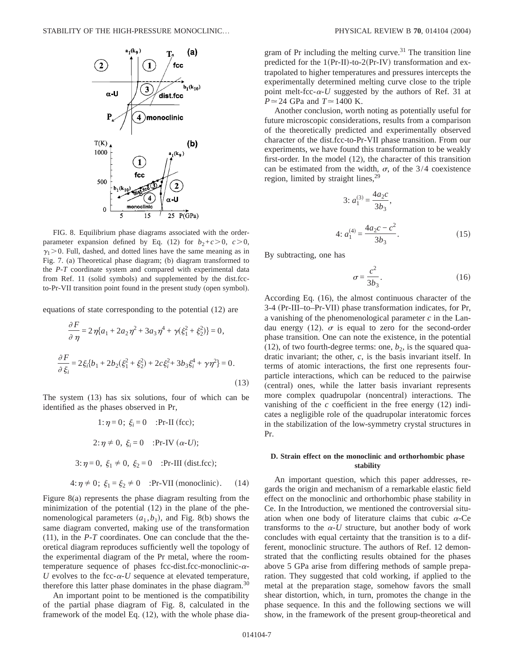

FIG. 8. Equilibrium phase diagrams associated with the orderparameter expansion defined by Eq. (12) for  $b_2+c>0$ ,  $c>0$ ,  $\gamma_1$  > 0. Full, dashed, and dotted lines have the same meaning as in Fig. 7. (a) Theoretical phase diagram; (b) diagram transformed to the *P*-*T* coordinate system and compared with experimental data from Ref. 11 (solid symbols) and supplemented by the dist.fccto-Pr-VII transition point found in the present study (open symbol).

equations of state corresponding to the potential (12) are

$$
\frac{\partial F}{\partial \eta} = 2\eta \{a_1 + 2a_2\eta^2 + 3a_3\eta^4 + \gamma(\xi_1^2 + \xi_2^2)\} = 0,
$$
  

$$
\frac{\partial F}{\partial \xi_i} = 2\xi_i \{b_1 + 2b_2(\xi_1^2 + \xi_2^2) + 2c\xi_i^2 + 3b_3\xi_i^4 + \gamma\eta^2\} = 0.
$$
 (13)

The system (13) has six solutions, four of which can be identified as the phases observed in Pr,

1: 
$$
\eta = 0
$$
;  $\xi_i = 0$  :Pr-II (fcc);  
\n2:  $\eta \neq 0$ ,  $\xi_i = 0$  :Pr-IV ( $\alpha$ -U);  
\n3:  $\eta = 0$ ,  $\xi_1 \neq 0$ ,  $\xi_2 = 0$  :Pr-III (dist.fcc);  
\n4:  $\eta \neq 0$ ;  $\xi_1 = \xi_2 \neq 0$  :Pr-VII (monoclinic). (14)

Figure 8(a) represents the phase diagram resulting from the minimization of the potential (12) in the plane of the phenomenological parameters 
$$
(a_1, b_1)
$$
, and Fig. 8(b) shows the same diagram converted, making use of the transformation (11), in the *P*-*T* coordinates. One can conclude that the theoretical diagram reproduces sufficiently well the topology of the experimental diagram of the Pr metal, where the room-temperature sequence of phases fcc-dist.fcc-monoclinic- $\alpha$ -*U* evolves to the fcc- $\alpha$ -*U* sequence at elevated temperature,

An important point to be mentioned is the compatibility of the partial phase diagram of Fig. 8, calculated in the framework of the model Eq. (12), with the whole phase dia-

therefore this latter phase dominates in the phase diagram.<sup>30</sup>

gram of Pr including the melting curve.<sup>31</sup> The transition line predicted for the  $1(\Pr-II)-to-2(\Pr-IV)$  transformation and extrapolated to higher temperatures and pressures intercepts the experimentally determined melting curve close to the triple point melt-fcc- $\alpha$ -U suggested by the authors of Ref. 31 at  $P \approx 24$  GPa and  $T \approx 1400$  K.

Another conclusion, worth noting as potentially useful for future microscopic considerations, results from a comparison of the theoretically predicted and experimentally observed character of the dist.fcc-to-Pr-VII phase transition. From our experiments, we have found this transformation to be weakly first-order. In the model (12), the character of this transition can be estimated from the width,  $\sigma$ , of the 3/4 coexistence region, limited by straight lines,  $29$ 

3: 
$$
a_1^{(3)} = \frac{4a_2c}{3b_3}
$$
,  
4:  $a_1^{(4)} = \frac{4a_2c - c^2}{3b_3}$ . (15)

By subtracting, one has

$$
\sigma = \frac{c^2}{3b_3}.\tag{16}
$$

According Eq. (16), the almost continuous character of the 3-4 (Pr-III–to–Pr-VII) phase transformation indicates, for Pr, a vanishing of the phenomenological parameter *c* in the Landau energy (12).  $\sigma$  is equal to zero for the second-order phase transition. One can note the existence, in the potential (12), of two fourth-degree terms: one,  $b_2$ , is the squared quadratic invariant; the other, *c*, is the basis invariant itself. In terms of atomic interactions, the first one represents fourparticle interactions, which can be reduced to the pairwise (central) ones, while the latter basis invariant represents more complex quadrupolar (noncentral) interactions. The vanishing of the *c* coefficient in the free energy (12) indicates a negligible role of the quadrupolar interatomic forces in the stabilization of the low-symmetry crystal structures in Pr.

## **D. Strain effect on the monoclinic and orthorhombic phase stability**

An important question, which this paper addresses, regards the origin and mechanism of a remarkable elastic field effect on the monoclinic and orthorhombic phase stability in Ce. In the Introduction, we mentioned the controversial situation when one body of literature claims that cubic  $\alpha$ -Ce transforms to the  $\alpha$ -*U* structure, but another body of work concludes with equal certainty that the transition is to a different, monoclinic structure. The authors of Ref. 12 demonstrated that the conflicting results obtained for the phases above 5 GPa arise from differing methods of sample preparation. They suggested that cold working, if applied to the metal at the preparation stage, somehow favors the small shear distortion, which, in turn, promotes the change in the phase sequence. In this and the following sections we will show, in the framework of the present group-theoretical and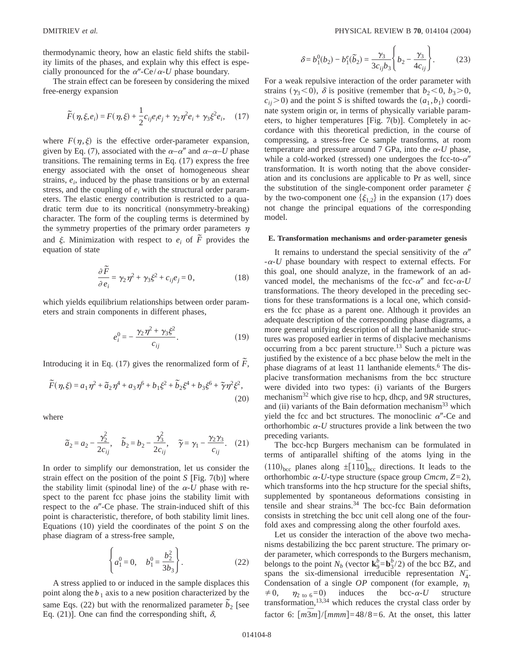thermodynamic theory, how an elastic field shifts the stability limits of the phases, and explain why this effect is especially pronounced for the  $\alpha''$ -Ce/ $\alpha$ -*U* phase boundary.

The strain effect can be foreseen by considering the mixed free-energy expansion

$$
\widetilde{F}(\eta, \xi, e_i) = F(\eta, \xi) + \frac{1}{2} c_{ij} e_i e_j + \gamma_2 \eta^2 e_i + \gamma_3 \xi^2 e_i, \quad (17)
$$

where  $F(\eta, \xi)$  is the effective order-parameter expansion, given by Eq. (7), associated with the  $\alpha-\alpha''$  and  $\alpha-\alpha-U$  phase transitions. The remaining terms in Eq. (17) express the free energy associated with the onset of homogeneous shear strains,  $e_i$ , induced by the phase transitions or by an external stress, and the coupling of  $e_i$  with the structural order parameters. The elastic energy contribution is restricted to a quadratic term due to its noncritical (nonsymmetry-breaking) character. The form of the coupling terms is determined by the symmetry properties of the primary order parameters  $\eta$ and  $\xi$ . Minimization with respect to  $e_i$  of  $\tilde{F}$  provides the equation of state

$$
\frac{\partial \tilde{F}}{\partial e_i} = \gamma_2 \eta^2 + \gamma_3 \xi^2 + c_{ij} e_j = 0, \qquad (18)
$$

which yields equilibrium relationships between order parameters and strain components in different phases,

$$
e_i^0 = -\frac{\gamma_2 \eta^2 + \gamma_3 \xi^2}{c_{ij}}.
$$
 (19)

Introducing it in Eq. (17) gives the renormalized form of  $\tilde{F}$ ,

$$
\widetilde{F}(\eta,\xi) = a_1 \eta^2 + \widetilde{a}_2 \eta^4 + a_3 \eta^6 + b_1 \xi^2 + \widetilde{b}_2 \xi^4 + b_3 \xi^6 + \widetilde{\gamma} \eta^2 \xi^2,
$$
\n(20)

where

$$
\tilde{a}_2 = a_2 - \frac{\gamma_2^2}{2c_{ij}}, \quad \tilde{b}_2 = b_2 - \frac{\gamma_3^2}{2c_{ij}}, \quad \tilde{\gamma} = \gamma_1 - \frac{\gamma_2 \gamma_3}{c_{ij}}.
$$
 (21)

In order to simplify our demonstration, let us consider the strain effect on the position of the point *S* [Fig. 7(b)] where the stability limit (spinodal line) of the  $\alpha$ -U phase with respect to the parent fcc phase joins the stability limit with respect to the  $\alpha$ <sup>"</sup>-Ce phase. The strain-induced shift of this point is characteristic, therefore, of both stability limit lines. Equations (10) yield the coordinates of the point *S* on the phase diagram of a stress-free sample,

$$
\left\{ a_1^0 = 0, \quad b_1^0 = \frac{b_2^2}{3b_3} \right\}.
$$
 (22)

A stress applied to or induced in the sample displaces this point along the  $b_1$  axis to a new position characterized by the same Eqs. (22) but with the renormalized parameter  $\tilde{b}_2$  [see Eq. (21)]. One can find the corresponding shift,  $\delta$ ,

$$
\delta = b_1^0(b_2) - b_1^e(\tilde{b}_2) = \frac{\gamma_3}{3c_{ij}b_3} \left\{ b_2 - \frac{\gamma_3}{4c_{ij}} \right\}.
$$
 (23)

For a weak repulsive interaction of the order parameter with strains ( $\gamma_3$ <0),  $\delta$  is positive (remember that *b*<sub>2</sub> < 0, *b*<sub>3</sub> > 0,  $c_{ii}$  > 0) and the point *S* is shifted towards the  $(a_1, b_1)$  coordinate system origin or, in terms of physically variable parameters, to higher temperatures [Fig. 7(b)]. Completely in accordance with this theoretical prediction, in the course of compressing, a stress-free Ce sample transforms, at room temperature and pressure around 7 GPa, into the  $\alpha$ -*U* phase, while a cold-worked (stressed) one undergoes the fcc-to- $\alpha''$ transformation. It is worth noting that the above consideration and its conclusions are applicable to Pr as well, since the substitution of the single-component order parameter  $\xi$ by the two-component one  $\{\xi_{1,2}\}\$ in the expansion (17) does not change the principal equations of the corresponding model.

#### **E. Transformation mechanisms and order-parameter genesis**

It remains to understand the special sensitivity of the  $\alpha''$  $-\alpha$ -*U* phase boundary with respect to external effects. For this goal, one should analyze, in the framework of an advanced model, the mechanisms of the fcc- $\alpha$ <sup>*''*</sup> and fcc- $\alpha$ -*U* transformations. The theory developed in the preceding sections for these transformations is a local one, which considers the fcc phase as a parent one. Although it provides an adequate description of the corresponding phase diagrams, a more general unifying description of all the lanthanide structures was proposed earlier in terms of displacive mechanisms occurring from a bcc parent structure.13 Such a picture was justified by the existence of a bcc phase below the melt in the phase diagrams of at least 11 lanthanide elements.<sup>6</sup> The displacive transformation mechanisms from the bcc structure were divided into two types: (i) variants of the Burgers mechanism<sup>32</sup> which give rise to hcp, dhcp, and 9*R* structures, and (ii) variants of the Bain deformation mechanism<sup>33</sup> which yield the fcc and bct structures. The monoclinic  $\alpha$ <sup>"</sup>-Ce and orthorhombic  $\alpha$ -*U* structures provide a link between the two preceding variants.

The bcc-hcp Burgers mechanism can be formulated in terms of antiparallel shifting of the atoms lying in the  $(110)_{\text{bcc}}$  planes along  $\pm$ [1<sup>*T*0</sup>]<sub>bcc</sub> directions. It leads to the orthorhombic  $\alpha$ -*U*-type structure (space group *Cmcm*, *Z*=2), which transforms into the hcp structure for the special shifts, supplemented by spontaneous deformations consisting in tensile and shear strains.<sup>34</sup> The bcc-fcc Bain deformation consists in stretching the bcc unit cell along one of the fourfold axes and compressing along the other fourfold axes.

Let us consider the interaction of the above two mechanisms destabilizing the bcc parent structure. The primary order parameter, which corresponds to the Burgers mechanism, belongs to the point  $N_b$  (vector  $\mathbf{k}_9^b = \mathbf{b}_3^b/2$ ) of the bcc BZ, and spans the six-dimensional irreducible representation  $N_4$ . Condensation of a single  $OP$  component (for example,  $\eta_1$ )  $\neq 0$ ,  $\eta_{2 \text{ to } 6} = 0$ ) induces the bcc- $\alpha$ -U structure transformation,13,34 which reduces the crystal class order by factor 6:  $\left[\frac{m\overline{3}m}{2}\right]/\left[\frac{mmm}{48/8}=6\right]$ . At the onset, this latter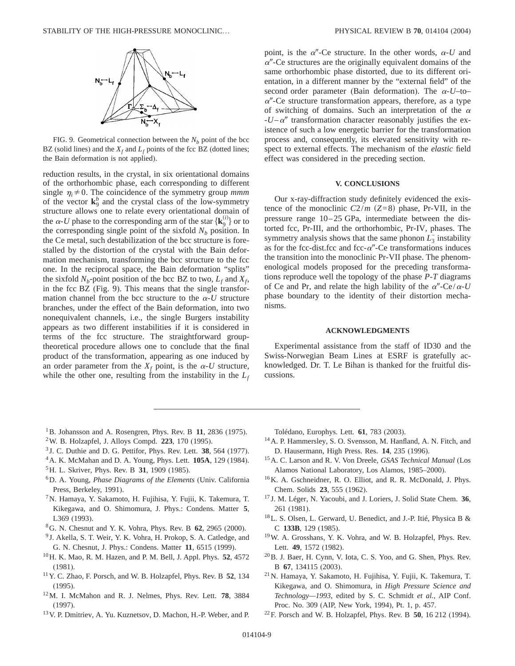

FIG. 9. Geometrical connection between the  $N<sub>b</sub>$  point of the bcc BZ (solid lines) and the  $X_f$  and  $L_f$  points of the fcc BZ (dotted lines; the Bain deformation is not applied).

reduction results, in the crystal, in six orientational domains of the orthorhombic phase, each corresponding to different single  $\eta_i \neq 0$ . The coincidence of the symmetry group *mmm* of the vector  $\mathbf{k}_9^b$  and the crystal class of the low-symmetry structure allows one to relate every orientational domain of the  $\alpha$ -*U* phase to the corresponding arm of the star  $\{ \mathbf{k}_9^{(i)} \}$  or to the corresponding single point of the sixfold  $N_b$  position. In the Ce metal, such destabilization of the bcc structure is forestalled by the distortion of the crystal with the Bain deformation mechanism, transforming the bcc structure to the fcc one. In the reciprocal space, the Bain deformation "splits" the sixfold  $N_b$ -point position of the bcc BZ to two,  $L_f$  and  $X_f$ , in the fcc BZ (Fig. 9). This means that the single transformation channel from the bcc structure to the  $\alpha$ -*U* structure branches, under the effect of the Bain deformation, into two nonequivalent channels, i.e., the single Burgers instability appears as two different instabilities if it is considered in terms of the fcc structure. The straightforward grouptheoretical procedure allows one to conclude that the final product of the transformation, appearing as one induced by an order parameter from the  $X_f$  point, is the  $\alpha$ -U structure, while the other one, resulting from the instability in the  $L_f$  point, is the  $\alpha$ <sup>"</sup>-Ce structure. In the other words,  $\alpha$ -U and  $\alpha$ <sup>"</sup>-Ce structures are the originally equivalent domains of the same orthorhombic phase distorted, due to its different orientation, in a different manner by the "external field" of the second order parameter (Bain deformation). The  $\alpha$ -U–to–  $\alpha$ "-Ce structure transformation appears, therefore, as a type of switching of domains. Such an interpretation of the  $\alpha$  $-U-\alpha''$  transformation character reasonably justifies the existence of such a low energetic barrier for the transformation process and, consequently, its elevated sensitivity with respect to external effects. The mechanism of the *elastic* field effect was considered in the preceding section.

#### **V. CONCLUSIONS**

Our x-ray-diffraction study definitely evidenced the existence of the monoclinic  $C2/m$   $(Z=8)$  phase, Pr-VII, in the pressure range 10–25 GPa, intermediate between the distorted fcc, Pr-III, and the orthorhombic, Pr-IV, phases. The symmetry analysis shows that the same phonon  $\overline{L_3}$  instability as for the fcc-dist.fcc and fcc- $\alpha$ "-Ce transformations induces the transition into the monoclinic Pr-VII phase. The phenomenological models proposed for the preceding transformations reproduce well the topology of the phase *P*-*T* diagrams of Ce and Pr, and relate the high lability of the  $\alpha''$ -Ce/ $\alpha$ -U phase boundary to the identity of their distortion mechanisms.

#### **ACKNOWLEDGMENTS**

Experimental assistance from the staff of ID30 and the Swiss-Norwegian Beam Lines at ESRF is gratefully acknowledged. Dr. T. Le Bihan is thanked for the fruitful discussions.

- <sup>1</sup>B. Johansson and A. Rosengren, Phys. Rev. B 11, 2836 (1975).
- 2W. B. Holzapfel, J. Alloys Compd. **223**, 170 (1995).
- <sup>3</sup> J. C. Duthie and D. G. Pettifor, Phys. Rev. Lett. **38**, 564 (1977).
- 4A. K. McMahan and D. A. Young, Phys. Lett. **105A**, 129 (1984).
- 5H. L. Skriver, Phys. Rev. B **31**, 1909 (1985).
- 6D. A. Young, *Phase Diagrams of the Elements* (Univ. California Press, Berkeley, 1991).
- 7N. Hamaya, Y. Sakamoto, H. Fujihisa, Y. Fujii, K. Takemura, T. Kikegawa, and O. Shimomura, J. Phys.: Condens. Matter **5**, L369 (1993).
- 8G. N. Chesnut and Y. K. Vohra, Phys. Rev. B **62**, 2965 (2000).
- <sup>9</sup> J. Akella, S. T. Weir, Y. K. Vohra, H. Prokop, S. A. Catledge, and G. N. Chesnut, J. Phys.: Condens. Matter **11**, 6515 (1999).
- 10H. K. Mao, R. M. Hazen, and P. M. Bell, J. Appl. Phys. **52**, 4572 (1981).
- 11Y. C. Zhao, F. Porsch, and W. B. Holzapfel, Phys. Rev. B **52**, 134 (1995).
- 12M. I. McMahon and R. J. Nelmes, Phys. Rev. Lett. **78**, 3884 (1997).
- 13V. P. Dmitriev, A. Yu. Kuznetsov, D. Machon, H.-P. Weber, and P.

Tolédano, Europhys. Lett. **61**, 783 (2003).

- 14A. P. Hammersley, S. O. Svensson, M. Hanfland, A. N. Fitch, and D. Hausermann, High Press. Res. **14**, 235 (1996).
- 15A. C. Larson and R. V. Von Dreele, *GSAS Technical Manual* (Los Alamos National Laboratory, Los Alamos, 1985–2000).
- 16K. A. Gschneidner, R. O. Elliot, and R. R. McDonald, J. Phys. Chem. Solids **23**, 555 (1962).
- <sup>17</sup> J. M. Léger, N. Yacoubi, and J. Loriers, J. Solid State Chem. **36**, 261 (1981).
- 18L. S. Olsen, L. Gerward, U. Benedict, and J.-P. Itié, Physica B & C **133B**, 129 (1985).
- 19W. A. Grosshans, Y. K. Vohra, and W. B. Holzapfel, Phys. Rev. Lett. **49**, 1572 (1982).
- $^{20}$ B. J. Baer, H. Cynn, V. Iota, C. S. Yoo, and G. Shen, Phys. Rev. B **67**, 134115 (2003).
- 21N. Hamaya, Y. Sakamoto, H. Fujihisa, Y. Fujii, K. Takemura, T. Kikegawa, and O. Shimomura, in *High Pressure Science and Technology—1993*, edited by S. C. Schmidt *et al.*, AIP Conf. Proc. No. 309 (AIP, New York, 1994), Pt. 1, p. 457.
- 22F. Porsch and W. B. Holzapfel, Phys. Rev. B **50**, 16 212 (1994).